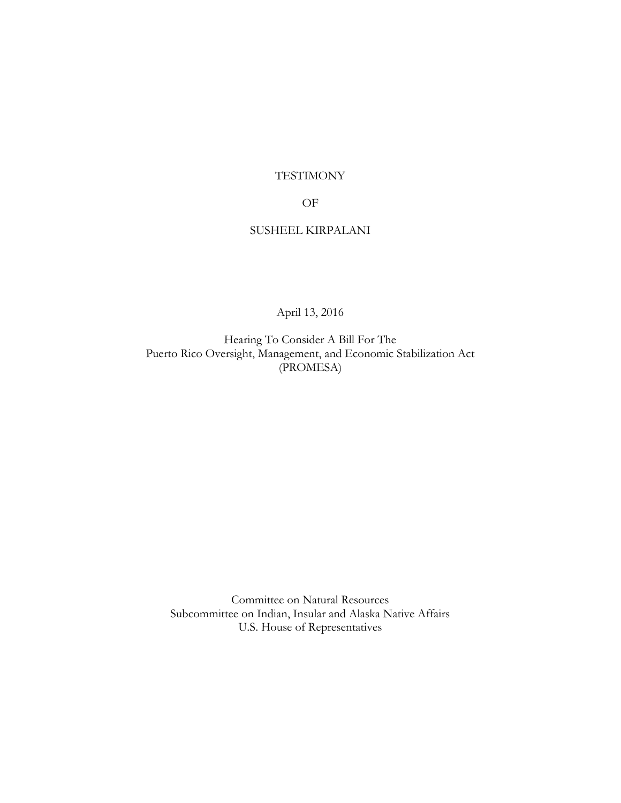# TESTIMONY

## OF

## SUSHEEL KIRPALANI

April 13, 2016

Hearing To Consider A Bill For The Puerto Rico Oversight, Management, and Economic Stabilization Act (PROMESA)

Committee on Natural Resources Subcommittee on Indian, Insular and Alaska Native Affairs U.S. House of Representatives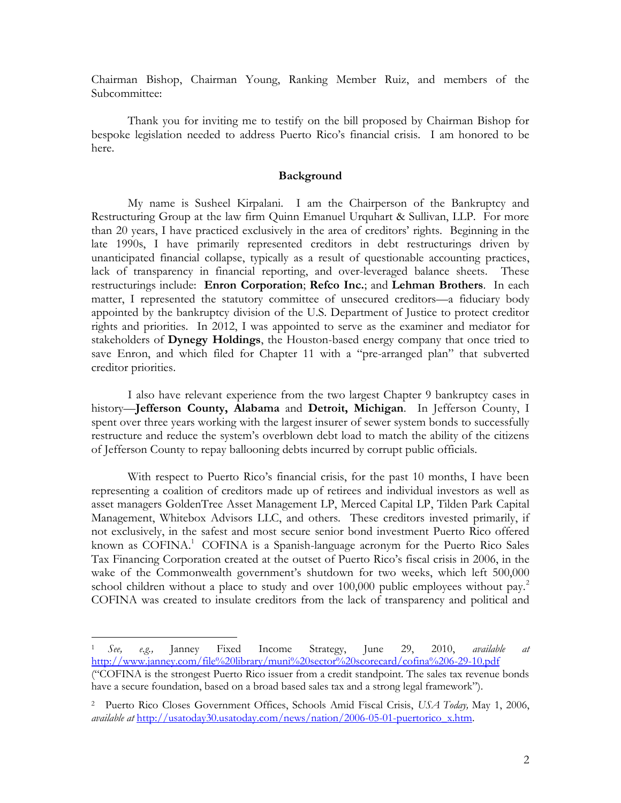Chairman Bishop, Chairman Young, Ranking Member Ruiz, and members of the Subcommittee:

Thank you for inviting me to testify on the bill proposed by Chairman Bishop for bespoke legislation needed to address Puerto Rico's financial crisis. I am honored to be here.

### **Background**

My name is Susheel Kirpalani. I am the Chairperson of the Bankruptcy and Restructuring Group at the law firm Quinn Emanuel Urquhart & Sullivan, LLP. For more than 20 years, I have practiced exclusively in the area of creditors' rights. Beginning in the late 1990s, I have primarily represented creditors in debt restructurings driven by unanticipated financial collapse, typically as a result of questionable accounting practices, lack of transparency in financial reporting, and over-leveraged balance sheets. These restructurings include: **Enron Corporation**; **Refco Inc.**; and **Lehman Brothers**. In each matter, I represented the statutory committee of unsecured creditors—a fiduciary body appointed by the bankruptcy division of the U.S. Department of Justice to protect creditor rights and priorities. In 2012, I was appointed to serve as the examiner and mediator for stakeholders of **Dynegy Holdings**, the Houston-based energy company that once tried to save Enron, and which filed for Chapter 11 with a "pre-arranged plan" that subverted creditor priorities.

I also have relevant experience from the two largest Chapter 9 bankruptcy cases in history—**Jefferson County, Alabama** and **Detroit, Michigan**. In Jefferson County, I spent over three years working with the largest insurer of sewer system bonds to successfully restructure and reduce the system's overblown debt load to match the ability of the citizens of Jefferson County to repay ballooning debts incurred by corrupt public officials.

With respect to Puerto Rico's financial crisis, for the past 10 months, I have been representing a coalition of creditors made up of retirees and individual investors as well as asset managers GoldenTree Asset Management LP, Merced Capital LP, Tilden Park Capital Management, Whitebox Advisors LLC, and others. These creditors invested primarily, if not exclusively, in the safest and most secure senior bond investment Puerto Rico offered known as COFINA.<sup>1</sup> COFINA is a Spanish-language acronym for the Puerto Rico Sales Tax Financing Corporation created at the outset of Puerto Rico's fiscal crisis in 2006, in the wake of the Commonwealth government's shutdown for two weeks, which left 500,000 school children without a place to study and over  $100,000$  public employees without pay.<sup>2</sup> COFINA was created to insulate creditors from the lack of transparency and political and

<sup>1</sup> *See, e.g.,* Janney Fixed Income Strategy, June 29, 2010, *available at*  <http://www.janney.com/file%20library/muni%20sector%20scorecard/cofina%206-29-10.pdf> ("COFINA is the strongest Puerto Rico issuer from a credit standpoint. The sales tax revenue bonds have a secure foundation, based on a broad based sales tax and a strong legal framework").

<sup>2</sup> Puerto Rico Closes Government Offices, Schools Amid Fiscal Crisis, *USA Today,* May 1, 2006, *available at* [http://usatoday30.usatoday.com/news/nation/2006-05-01-puertorico\\_x.htm.](http://usatoday30.usatoday.com/news/nation/2006-05-01-puertorico_x.htm)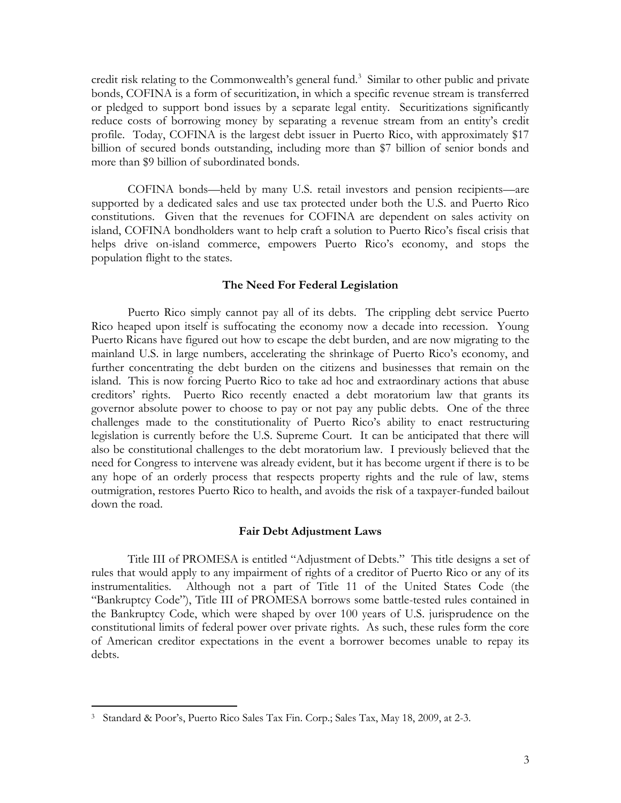credit risk relating to the Commonwealth's general fund.<sup>3</sup> Similar to other public and private bonds, COFINA is a form of securitization, in which a specific revenue stream is transferred or pledged to support bond issues by a separate legal entity. Securitizations significantly reduce costs of borrowing money by separating a revenue stream from an entity's credit profile. Today, COFINA is the largest debt issuer in Puerto Rico, with approximately \$17 billion of secured bonds outstanding, including more than \$7 billion of senior bonds and more than \$9 billion of subordinated bonds.

COFINA bonds—held by many U.S. retail investors and pension recipients—are supported by a dedicated sales and use tax protected under both the U.S. and Puerto Rico constitutions. Given that the revenues for COFINA are dependent on sales activity on island, COFINA bondholders want to help craft a solution to Puerto Rico's fiscal crisis that helps drive on-island commerce, empowers Puerto Rico's economy, and stops the population flight to the states.

#### **The Need For Federal Legislation**

Puerto Rico simply cannot pay all of its debts. The crippling debt service Puerto Rico heaped upon itself is suffocating the economy now a decade into recession. Young Puerto Ricans have figured out how to escape the debt burden, and are now migrating to the mainland U.S. in large numbers, accelerating the shrinkage of Puerto Rico's economy, and further concentrating the debt burden on the citizens and businesses that remain on the island. This is now forcing Puerto Rico to take ad hoc and extraordinary actions that abuse creditors' rights. Puerto Rico recently enacted a debt moratorium law that grants its governor absolute power to choose to pay or not pay any public debts. One of the three challenges made to the constitutionality of Puerto Rico's ability to enact restructuring legislation is currently before the U.S. Supreme Court. It can be anticipated that there will also be constitutional challenges to the debt moratorium law. I previously believed that the need for Congress to intervene was already evident, but it has become urgent if there is to be any hope of an orderly process that respects property rights and the rule of law, stems outmigration, restores Puerto Rico to health, and avoids the risk of a taxpayer-funded bailout down the road.

#### **Fair Debt Adjustment Laws**

Title III of PROMESA is entitled "Adjustment of Debts." This title designs a set of rules that would apply to any impairment of rights of a creditor of Puerto Rico or any of its instrumentalities. Although not a part of Title 11 of the United States Code (the "Bankruptcy Code"), Title III of PROMESA borrows some battle-tested rules contained in the Bankruptcy Code, which were shaped by over 100 years of U.S. jurisprudence on the constitutional limits of federal power over private rights. As such, these rules form the core of American creditor expectations in the event a borrower becomes unable to repay its debts.

<sup>3</sup> Standard & Poor's, Puerto Rico Sales Tax Fin. Corp.; Sales Tax, May 18, 2009, at 2-3.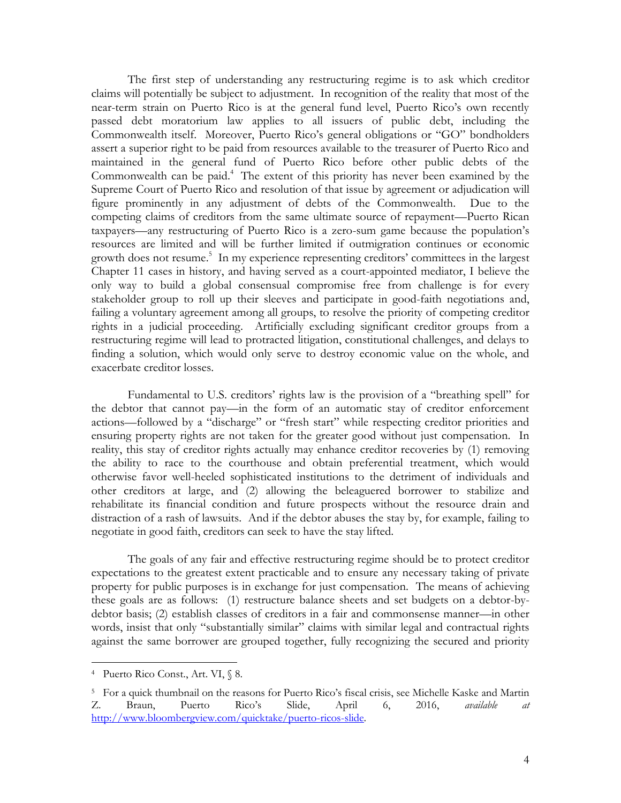The first step of understanding any restructuring regime is to ask which creditor claims will potentially be subject to adjustment. In recognition of the reality that most of the near-term strain on Puerto Rico is at the general fund level, Puerto Rico's own recently passed debt moratorium law applies to all issuers of public debt, including the Commonwealth itself. Moreover, Puerto Rico's general obligations or "GO" bondholders assert a superior right to be paid from resources available to the treasurer of Puerto Rico and maintained in the general fund of Puerto Rico before other public debts of the Commonwealth can be paid.<sup>4</sup> The extent of this priority has never been examined by the Supreme Court of Puerto Rico and resolution of that issue by agreement or adjudication will figure prominently in any adjustment of debts of the Commonwealth. Due to the competing claims of creditors from the same ultimate source of repayment—Puerto Rican taxpayers—any restructuring of Puerto Rico is a zero-sum game because the population's resources are limited and will be further limited if outmigration continues or economic growth does not resume. 5 In my experience representing creditors' committees in the largest Chapter 11 cases in history, and having served as a court-appointed mediator, I believe the only way to build a global consensual compromise free from challenge is for every stakeholder group to roll up their sleeves and participate in good-faith negotiations and, failing a voluntary agreement among all groups, to resolve the priority of competing creditor rights in a judicial proceeding. Artificially excluding significant creditor groups from a restructuring regime will lead to protracted litigation, constitutional challenges, and delays to finding a solution, which would only serve to destroy economic value on the whole, and exacerbate creditor losses.

Fundamental to U.S. creditors' rights law is the provision of a "breathing spell" for the debtor that cannot pay—in the form of an automatic stay of creditor enforcement actions—followed by a "discharge" or "fresh start" while respecting creditor priorities and ensuring property rights are not taken for the greater good without just compensation. In reality, this stay of creditor rights actually may enhance creditor recoveries by (1) removing the ability to race to the courthouse and obtain preferential treatment, which would otherwise favor well-heeled sophisticated institutions to the detriment of individuals and other creditors at large, and (2) allowing the beleaguered borrower to stabilize and rehabilitate its financial condition and future prospects without the resource drain and distraction of a rash of lawsuits. And if the debtor abuses the stay by, for example, failing to negotiate in good faith, creditors can seek to have the stay lifted.

The goals of any fair and effective restructuring regime should be to protect creditor expectations to the greatest extent practicable and to ensure any necessary taking of private property for public purposes is in exchange for just compensation. The means of achieving these goals are as follows: (1) restructure balance sheets and set budgets on a debtor-bydebtor basis; (2) establish classes of creditors in a fair and commonsense manner—in other words, insist that only "substantially similar" claims with similar legal and contractual rights against the same borrower are grouped together, fully recognizing the secured and priority

<sup>4</sup> Puerto Rico Const., Art. VI, § 8.

<sup>5</sup> For a quick thumbnail on the reasons for Puerto Rico's fiscal crisis, see Michelle Kaske and Martin Z. Braun, Puerto Rico's Slide, April 6, 2016, *available at* [http://www.bloombergview.com/quicktake/puerto-ricos-slide.](http://www.bloombergview.com/quicktake/puerto-ricos-slide)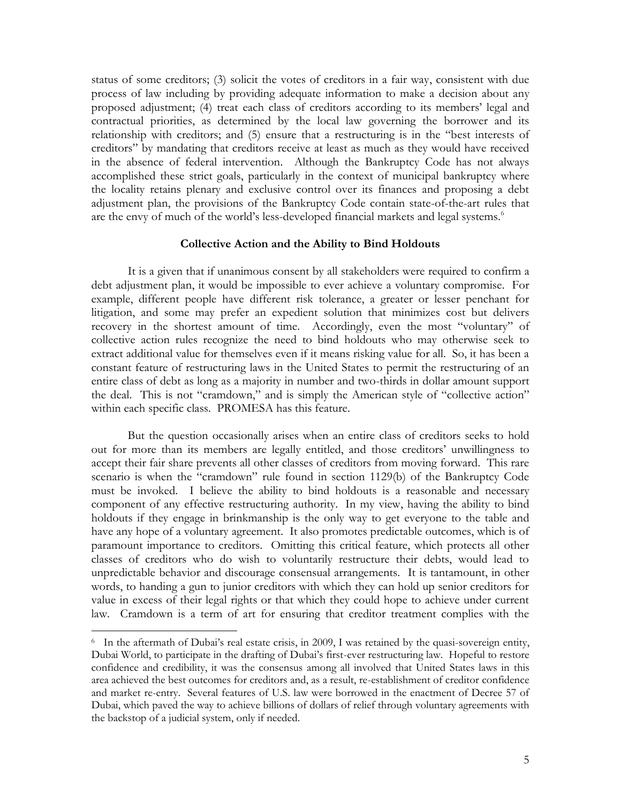status of some creditors; (3) solicit the votes of creditors in a fair way, consistent with due process of law including by providing adequate information to make a decision about any proposed adjustment; (4) treat each class of creditors according to its members' legal and contractual priorities, as determined by the local law governing the borrower and its relationship with creditors; and (5) ensure that a restructuring is in the "best interests of creditors" by mandating that creditors receive at least as much as they would have received in the absence of federal intervention. Although the Bankruptcy Code has not always accomplished these strict goals, particularly in the context of municipal bankruptcy where the locality retains plenary and exclusive control over its finances and proposing a debt adjustment plan, the provisions of the Bankruptcy Code contain state-of-the-art rules that are the envy of much of the world's less-developed financial markets and legal systems.<sup>6</sup>

#### **Collective Action and the Ability to Bind Holdouts**

It is a given that if unanimous consent by all stakeholders were required to confirm a debt adjustment plan, it would be impossible to ever achieve a voluntary compromise. For example, different people have different risk tolerance, a greater or lesser penchant for litigation, and some may prefer an expedient solution that minimizes cost but delivers recovery in the shortest amount of time. Accordingly, even the most "voluntary" of collective action rules recognize the need to bind holdouts who may otherwise seek to extract additional value for themselves even if it means risking value for all. So, it has been a constant feature of restructuring laws in the United States to permit the restructuring of an entire class of debt as long as a majority in number and two-thirds in dollar amount support the deal. This is not "cramdown," and is simply the American style of "collective action" within each specific class. PROMESA has this feature.

But the question occasionally arises when an entire class of creditors seeks to hold out for more than its members are legally entitled, and those creditors' unwillingness to accept their fair share prevents all other classes of creditors from moving forward. This rare scenario is when the "cramdown" rule found in section 1129(b) of the Bankruptcy Code must be invoked. I believe the ability to bind holdouts is a reasonable and necessary component of any effective restructuring authority. In my view, having the ability to bind holdouts if they engage in brinkmanship is the only way to get everyone to the table and have any hope of a voluntary agreement. It also promotes predictable outcomes, which is of paramount importance to creditors. Omitting this critical feature, which protects all other classes of creditors who do wish to voluntarily restructure their debts, would lead to unpredictable behavior and discourage consensual arrangements. It is tantamount, in other words, to handing a gun to junior creditors with which they can hold up senior creditors for value in excess of their legal rights or that which they could hope to achieve under current law. Cramdown is a term of art for ensuring that creditor treatment complies with the

<sup>&</sup>lt;sup>6</sup> In the aftermath of Dubai's real estate crisis, in 2009, I was retained by the quasi-sovereign entity, Dubai World, to participate in the drafting of Dubai's first-ever restructuring law. Hopeful to restore confidence and credibility, it was the consensus among all involved that United States laws in this area achieved the best outcomes for creditors and, as a result, re-establishment of creditor confidence and market re-entry. Several features of U.S. law were borrowed in the enactment of Decree 57 of Dubai, which paved the way to achieve billions of dollars of relief through voluntary agreements with the backstop of a judicial system, only if needed.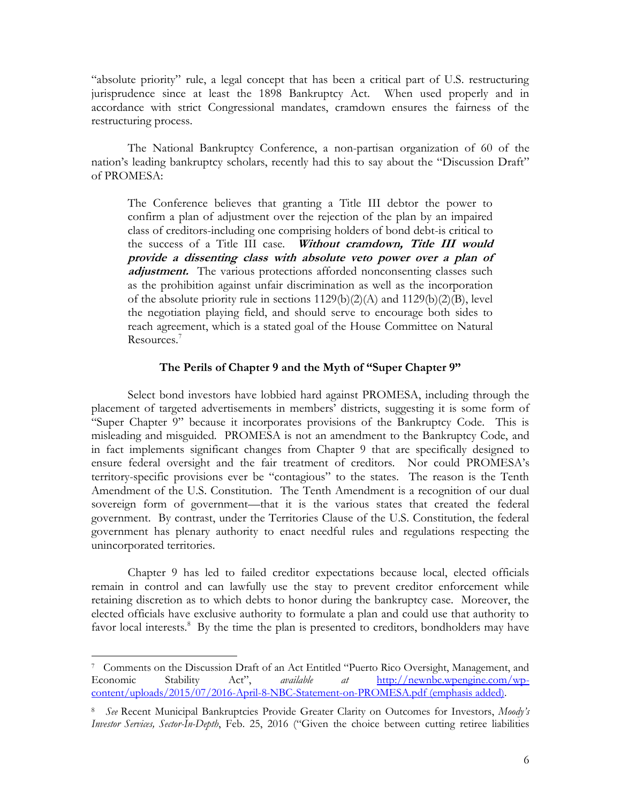"absolute priority" rule, a legal concept that has been a critical part of U.S. restructuring jurisprudence since at least the 1898 Bankruptcy Act. When used properly and in accordance with strict Congressional mandates, cramdown ensures the fairness of the restructuring process.

The National Bankruptcy Conference, a non-partisan organization of 60 of the nation's leading bankruptcy scholars, recently had this to say about the "Discussion Draft" of PROMESA:

The Conference believes that granting a Title III debtor the power to confirm a plan of adjustment over the rejection of the plan by an impaired class of creditors-including one comprising holders of bond debt-is critical to the success of a Title III case. **Without cramdown, Title III would provide a dissenting class with absolute veto power over a plan of**  adjustment. The various protections afforded nonconsenting classes such as the prohibition against unfair discrimination as well as the incorporation of the absolute priority rule in sections 1129(b)(2)(A) and 1129(b)(2)(B), level the negotiation playing field, and should serve to encourage both sides to reach agreement, which is a stated goal of the House Committee on Natural Resources.<sup>7</sup>

### **The Perils of Chapter 9 and the Myth of "Super Chapter 9"**

Select bond investors have lobbied hard against PROMESA, including through the placement of targeted advertisements in members' districts, suggesting it is some form of "Super Chapter 9" because it incorporates provisions of the Bankruptcy Code. This is misleading and misguided. PROMESA is not an amendment to the Bankruptcy Code, and in fact implements significant changes from Chapter 9 that are specifically designed to ensure federal oversight and the fair treatment of creditors. Nor could PROMESA's territory-specific provisions ever be "contagious" to the states. The reason is the Tenth Amendment of the U.S. Constitution. The Tenth Amendment is a recognition of our dual sovereign form of government—that it is the various states that created the federal government. By contrast, under the Territories Clause of the U.S. Constitution, the federal government has plenary authority to enact needful rules and regulations respecting the unincorporated territories.

Chapter 9 has led to failed creditor expectations because local, elected officials remain in control and can lawfully use the stay to prevent creditor enforcement while retaining discretion as to which debts to honor during the bankruptcy case. Moreover, the elected officials have exclusive authority to formulate a plan and could use that authority to favor local interests.<sup>8</sup> By the time the plan is presented to creditors, bondholders may have

<sup>7</sup> Comments on the Discussion Draft of an Act Entitled "Puerto Rico Oversight, Management, and Economic Stability Act", *available at* [http://newnbc.wpengine.com/wp](http://newnbc.wpengine.com/wp-content/uploads/2015/07/2016-April-8-NBC-Statement-on-PROMESA.pdf)[content/uploads/2015/07/2016-April-8-NBC-Statement-on-PROMESA.pdf](http://newnbc.wpengine.com/wp-content/uploads/2015/07/2016-April-8-NBC-Statement-on-PROMESA.pdf) (emphasis added).

<sup>8</sup> *See* Recent Municipal Bankruptcies Provide Greater Clarity on Outcomes for Investors, *Moody's Investor Services, Sector-In-Depth*, Feb. 25, 2016 ("Given the choice between cutting retiree liabilities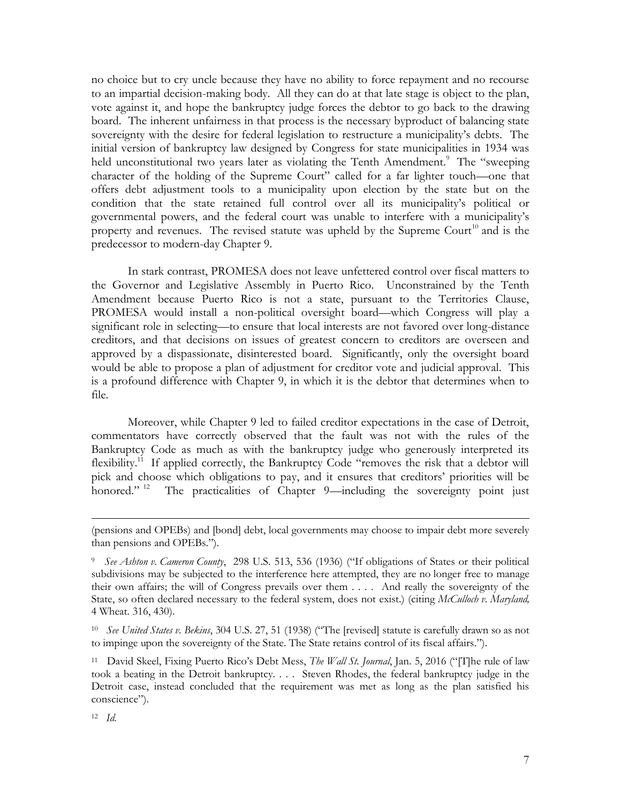no choice but to cry uncle because they have no ability to force repayment and no recourse to an impartial decision-making body. All they can do at that late stage is object to the plan, vote against it, and hope the bankruptcy judge forces the debtor to go back to the drawing board. The inherent unfairness in that process is the necessary byproduct of balancing state sovereignty with the desire for federal legislation to restructure a municipality's debts. The initial version of bankruptcy law designed by Congress for state municipalities in 1934 was held unconstitutional two years later as violating the Tenth Amendment.<sup>9</sup> The "sweeping character of the holding of the Supreme Court" called for a far lighter touch—one that offers debt adjustment tools to a municipality upon election by the state but on the condition that the state retained full control over all its municipality's political or governmental powers, and the federal court was unable to interfere with a municipality's property and revenues. The revised statute was upheld by the Supreme Court<sup>10</sup> and is the predecessor to modern-day Chapter 9.

In stark contrast, PROMESA does not leave unfettered control over fiscal matters to the Governor and Legislative Assembly in Puerto Rico. Unconstrained by the Tenth Amendment because Puerto Rico is not a state, pursuant to the Territories Clause, PROMESA would install a non-political oversight board—which Congress will play a significant role in selecting—to ensure that local interests are not favored over long-distance creditors, and that decisions on issues of greatest concern to creditors are overseen and approved by a dispassionate, disinterested board. Significantly, only the oversight board would be able to propose a plan of adjustment for creditor vote and judicial approval. This is a profound difference with Chapter 9, in which it is the debtor that determines when to file.

Moreover, while Chapter 9 led to failed creditor expectations in the case of Detroit, commentators have correctly observed that the fault was not with the rules of the Bankruptcy Code as much as with the bankruptcy judge who generously interpreted its flexibility.<sup>11</sup> If applied correctly, the Bankruptcy Code "removes the risk that a debtor will pick and choose which obligations to pay, and it ensures that creditors' priorities will be honored."<sup>12</sup> The practicalities of Chapter 9—including the sovereignty point just

<sup>(</sup>pensions and OPEBs) and [bond] debt, local governments may choose to impair debt more severely than pensions and OPEBs.").

<sup>9</sup> *See Ashton v. Cameron County*, 298 U.S. 513, 536 (1936) ("If obligations of States or their political subdivisions may be subjected to the interference here attempted, they are no longer free to manage their own affairs; the will of Congress prevails over them . . . . And really the sovereignty of the State, so often declared necessary to the federal system, does not exist.) (citing *McCulloch v. Maryland,*  4 Wheat. 316, 430).

<sup>10</sup> *See United States v. Bekins*, 304 U.S. 27, 51 (1938) ("The [revised] statute is carefully drawn so as not to impinge upon the sovereignty of the State. The State retains control of its fiscal affairs.").

<sup>11</sup> David Skeel, Fixing Puerto Rico's Debt Mess, *The Wall St. Journal*, Jan. 5, 2016 ("[T]he rule of law took a beating in the Detroit bankruptcy. . . . Steven Rhodes, the federal bankruptcy judge in the Detroit case, instead concluded that the requirement was met as long as the plan satisfied his conscience").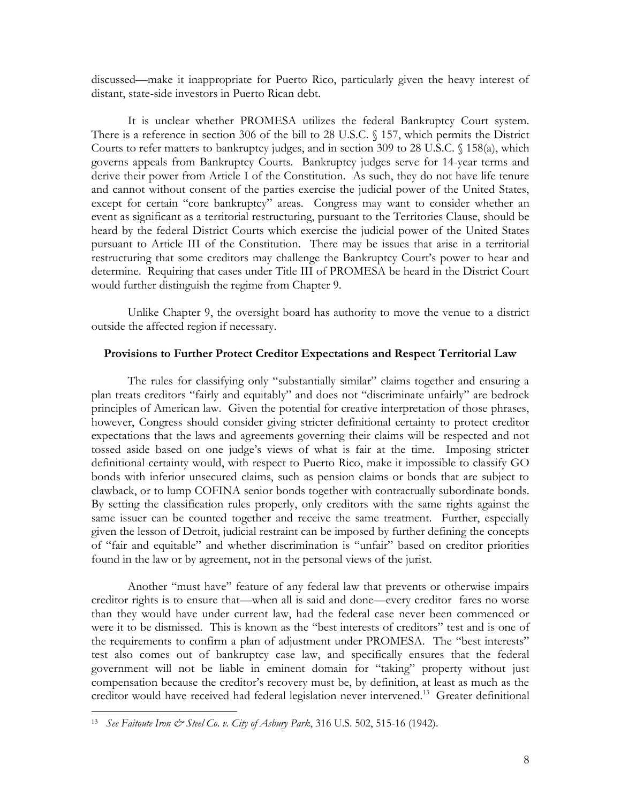discussed—make it inappropriate for Puerto Rico, particularly given the heavy interest of distant, state-side investors in Puerto Rican debt.

It is unclear whether PROMESA utilizes the federal Bankruptcy Court system. There is a reference in section 306 of the bill to 28 U.S.C. § 157, which permits the District Courts to refer matters to bankruptcy judges, and in section 309 to 28 U.S.C. § 158(a), which governs appeals from Bankruptcy Courts. Bankruptcy judges serve for 14-year terms and derive their power from Article I of the Constitution. As such, they do not have life tenure and cannot without consent of the parties exercise the judicial power of the United States, except for certain "core bankruptcy" areas. Congress may want to consider whether an event as significant as a territorial restructuring, pursuant to the Territories Clause, should be heard by the federal District Courts which exercise the judicial power of the United States pursuant to Article III of the Constitution. There may be issues that arise in a territorial restructuring that some creditors may challenge the Bankruptcy Court's power to hear and determine. Requiring that cases under Title III of PROMESA be heard in the District Court would further distinguish the regime from Chapter 9.

Unlike Chapter 9, the oversight board has authority to move the venue to a district outside the affected region if necessary.

#### **Provisions to Further Protect Creditor Expectations and Respect Territorial Law**

The rules for classifying only "substantially similar" claims together and ensuring a plan treats creditors "fairly and equitably" and does not "discriminate unfairly" are bedrock principles of American law. Given the potential for creative interpretation of those phrases, however, Congress should consider giving stricter definitional certainty to protect creditor expectations that the laws and agreements governing their claims will be respected and not tossed aside based on one judge's views of what is fair at the time. Imposing stricter definitional certainty would, with respect to Puerto Rico, make it impossible to classify GO bonds with inferior unsecured claims, such as pension claims or bonds that are subject to clawback, or to lump COFINA senior bonds together with contractually subordinate bonds. By setting the classification rules properly, only creditors with the same rights against the same issuer can be counted together and receive the same treatment. Further, especially given the lesson of Detroit, judicial restraint can be imposed by further defining the concepts of "fair and equitable" and whether discrimination is "unfair" based on creditor priorities found in the law or by agreement, not in the personal views of the jurist.

Another "must have" feature of any federal law that prevents or otherwise impairs creditor rights is to ensure that—when all is said and done—every creditor fares no worse than they would have under current law, had the federal case never been commenced or were it to be dismissed. This is known as the "best interests of creditors" test and is one of the requirements to confirm a plan of adjustment under PROMESA. The "best interests" test also comes out of bankruptcy case law, and specifically ensures that the federal government will not be liable in eminent domain for "taking" property without just compensation because the creditor's recovery must be, by definition, at least as much as the creditor would have received had federal legislation never intervened.<sup>13</sup> Greater definitional

l

<sup>13</sup> *See Faitoute Iron & Steel Co. v. City of Asbury Park*, 316 U.S. 502, 515-16 (1942).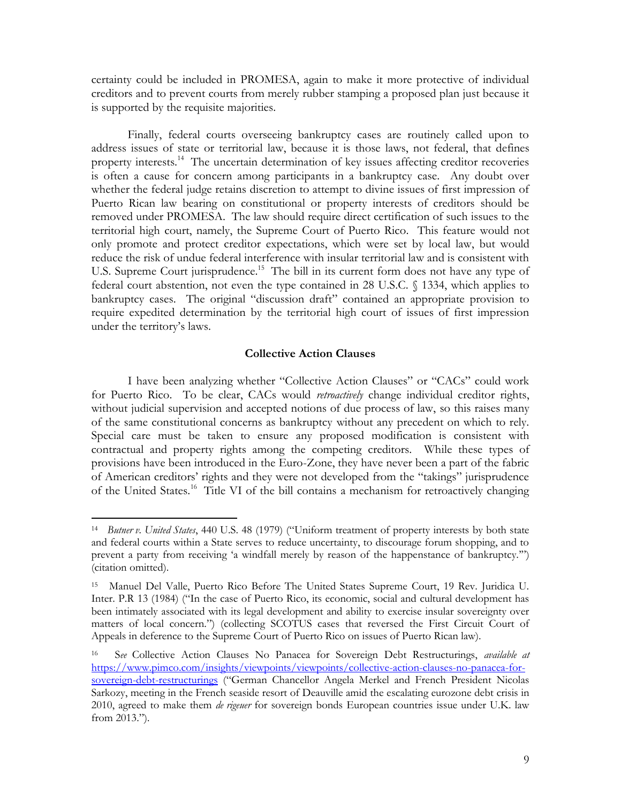certainty could be included in PROMESA, again to make it more protective of individual creditors and to prevent courts from merely rubber stamping a proposed plan just because it is supported by the requisite majorities.

Finally, federal courts overseeing bankruptcy cases are routinely called upon to address issues of state or territorial law, because it is those laws, not federal, that defines property interests.<sup>14</sup> The uncertain determination of key issues affecting creditor recoveries is often a cause for concern among participants in a bankruptcy case. Any doubt over whether the federal judge retains discretion to attempt to divine issues of first impression of Puerto Rican law bearing on constitutional or property interests of creditors should be removed under PROMESA. The law should require direct certification of such issues to the territorial high court, namely, the Supreme Court of Puerto Rico. This feature would not only promote and protect creditor expectations, which were set by local law, but would reduce the risk of undue federal interference with insular territorial law and is consistent with U.S. Supreme Court jurisprudence.<sup>15</sup> The bill in its current form does not have any type of federal court abstention, not even the type contained in 28 U.S.C. § 1334, which applies to bankruptcy cases. The original "discussion draft" contained an appropriate provision to require expedited determination by the territorial high court of issues of first impression under the territory's laws.

### **Collective Action Clauses**

I have been analyzing whether "Collective Action Clauses" or "CACs" could work for Puerto Rico. To be clear, CACs would *retroactively* change individual creditor rights, without judicial supervision and accepted notions of due process of law, so this raises many of the same constitutional concerns as bankruptcy without any precedent on which to rely. Special care must be taken to ensure any proposed modification is consistent with contractual and property rights among the competing creditors. While these types of provisions have been introduced in the Euro-Zone, they have never been a part of the fabric of American creditors' rights and they were not developed from the "takings" jurisprudence of the United States.<sup>16</sup> Title VI of the bill contains a mechanism for retroactively changing

<sup>14</sup> *Butner v. United States*, 440 U.S. 48 (1979) ("Uniform treatment of property interests by both state and federal courts within a State serves to reduce uncertainty, to discourage forum shopping, and to prevent a party from receiving 'a windfall merely by reason of the happenstance of bankruptcy.'") (citation omitted).

<sup>15</sup> Manuel Del Valle, Puerto Rico Before The United States Supreme Court, 19 Rev. Juridica U. Inter. P.R 13 (1984) ("In the case of Puerto Rico, its economic, social and cultural development has been intimately associated with its legal development and ability to exercise insular sovereignty over matters of local concern.") (collecting SCOTUS cases that reversed the First Circuit Court of Appeals in deference to the Supreme Court of Puerto Rico on issues of Puerto Rican law).

<sup>16</sup> S*ee* Collective Action Clauses No Panacea for Sovereign Debt Restructurings, *available at*  [https://www.pimco.com/insights/viewpoints/viewpoints/collective-action-clauses-no-panacea-for](https://www.pimco.com/insights/viewpoints/viewpoints/collective-action-clauses-no-panacea-for-sovereign-debt-restructurings)[sovereign-debt-restructurings](https://www.pimco.com/insights/viewpoints/viewpoints/collective-action-clauses-no-panacea-for-sovereign-debt-restructurings) ("German Chancellor Angela Merkel and French President Nicolas Sarkozy, meeting in the French seaside resort of Deauville amid the escalating eurozone debt crisis in 2010, agreed to make them *de rigeuer* for sovereign bonds European countries issue under U.K. law from 2013.")*.*